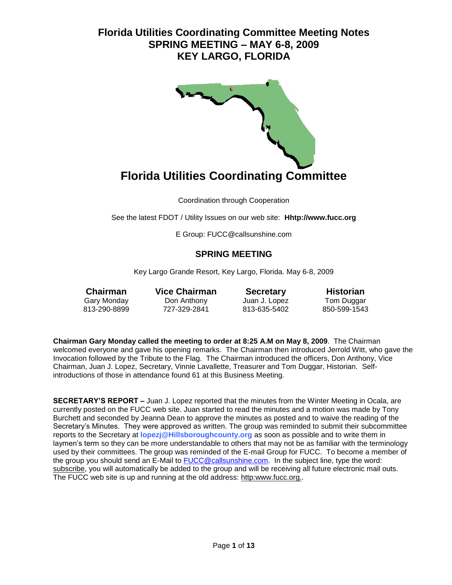

Coordination through Cooperation

See the latest FDOT / Utility Issues on our web site: **Hhtp://www.fucc.org**

E Group: FUCC@callsunshine.com

### **SPRING MEETING**

Key Largo Grande Resort, Key Largo, Florida. May 6-8, 2009

**Chairman Vice Chairman Secretary Historian** Gary Monday Don Anthony Juan J. Lopez Tom Duggar

813-635-5402

**Chairman Gary Monday called the meeting to order at 8:25 A.M on May 8, 2009**. The Chairman welcomed everyone and gave his opening remarks. The Chairman then introduced Jerrold Witt, who gave the Invocation followed by the Tribute to the Flag. The Chairman introduced the officers, Don Anthony, Vice Chairman, Juan J. Lopez, Secretary, Vinnie Lavallette, Treasurer and Tom Duggar, Historian. Selfintroductions of those in attendance found 61 at this Business Meeting.

**SECRETARY'S REPORT –** Juan J. Lopez reported that the minutes from the Winter Meeting in Ocala, are currently posted on the FUCC web site. Juan started to read the minutes and a motion was made by Tony Burchett and seconded by Jeanna Dean to approve the minutes as posted and to waive the reading of the Secretary's Minutes. They were approved as written. The group was reminded to submit their subcommittee reports to the Secretary at **lopezj@Hillsboroughcounty.org** as soon as possible and to write them in laymen's term so they can be more understandable to others that may not be as familiar with the terminology used by their committees. The group was reminded of the E-mail Group for FUCC. To become a member of the group you should send an E-Mail to [FUCC@callsunshine.com.](mailto:FUCC@callsunshine.com) In the subject line, type the word: subscribe, you will automatically be added to the group and will be receiving all future electronic mail outs. The FUCC web site is up and running at the old address: http:www.fucc.org..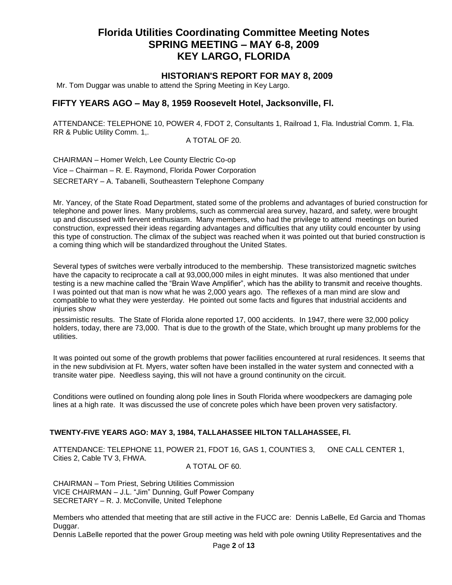### **HISTORIAN'S REPORT FOR MAY 8, 2009**

Mr. Tom Duggar was unable to attend the Spring Meeting in Key Largo.

### **FIFTY YEARS AGO – May 8, 1959 Roosevelt Hotel, Jacksonville, Fl.**

ATTENDANCE: TELEPHONE 10, POWER 4, FDOT 2, Consultants 1, Railroad 1, Fla. Industrial Comm. 1, Fla. RR & Public Utility Comm. 1,.

A TOTAL OF 20.

CHAIRMAN – Homer Welch, Lee County Electric Co-op Vice – Chairman – R. E. Raymond, Florida Power Corporation SECRETARY – A. Tabanelli, Southeastern Telephone Company

Mr. Yancey, of the State Road Department, stated some of the problems and advantages of buried construction for telephone and power lines. Many problems, such as commercial area survey, hazard, and safety, were brought up and discussed with fervent enthusiasm. Many members, who had the privilege to attend meetings on buried construction, expressed their ideas regarding advantages and difficulties that any utility could encounter by using this type of construction. The climax of the subject was reached when it was pointed out that buried construction is a coming thing which will be standardized throughout the United States.

Several types of switches were verbally introduced to the membership. These transistorized magnetic switches have the capacity to reciprocate a call at 93,000,000 miles in eight minutes. It was also mentioned that under testing is a new machine called the "Brain Wave Amplifier", which has the ability to transmit and receive thoughts. I was pointed out that man is now what he was 2,000 years ago. The reflexes of a man mind are slow and compatible to what they were yesterday. He pointed out some facts and figures that industrial accidents and injuries show

pessimistic results. The State of Florida alone reported 17, 000 accidents. In 1947, there were 32,000 policy holders, today, there are 73,000. That is due to the growth of the State, which brought up many problems for the utilities.

It was pointed out some of the growth problems that power facilities encountered at rural residences. It seems that in the new subdivision at Ft. Myers, water soften have been installed in the water system and connected with a transite water pipe. Needless saying, this will not have a ground continunity on the circuit.

Conditions were outlined on founding along pole lines in South Florida where woodpeckers are damaging pole lines at a high rate. It was discussed the use of concrete poles which have been proven very satisfactory.

### **TWENTY-FIVE YEARS AGO: MAY 3, 1984, TALLAHASSEE HILTON TALLAHASSEE, Fl.**

ATTENDANCE: TELEPHONE 11, POWER 21, FDOT 16, GAS 1, COUNTIES 3, ONE CALL CENTER 1, Cities 2, Cable TV 3, FHWA.

#### A TOTAL OF 60.

CHAIRMAN – Tom Priest, Sebring Utilities Commission VICE CHAIRMAN – J.L. "Jim" Dunning, Gulf Power Company SECRETARY – R. J. McConville, United Telephone

Members who attended that meeting that are still active in the FUCC are: Dennis LaBelle, Ed Garcia and Thomas Duggar.

Dennis LaBelle reported that the power Group meeting was held with pole owning Utility Representatives and the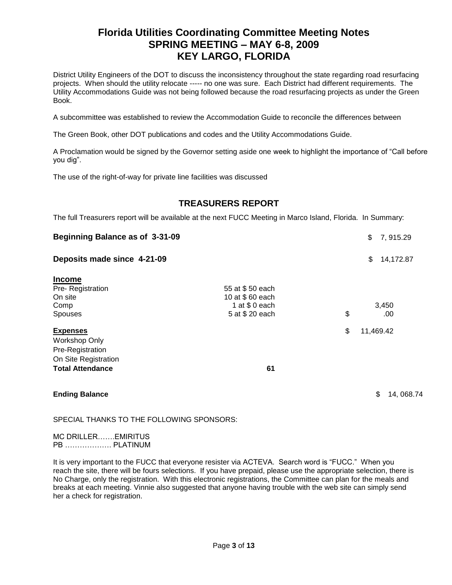District Utility Engineers of the DOT to discuss the inconsistency throughout the state regarding road resurfacing projects. When should the utility relocate ----- no one was sure. Each District had different requirements. The Utility Accommodations Guide was not being followed because the road resurfacing projects as under the Green Book.

A subcommittee was established to review the Accommodation Guide to reconcile the differences between

The Green Book, other DOT publications and codes and the Utility Accommodations Guide.

A Proclamation would be signed by the Governor setting aside one week to highlight the importance of "Call before you dig".

The use of the right-of-way for private line facilities was discussed

## **TREASURERS REPORT**

The full Treasurers report will be available at the next FUCC Meeting in Marco Island, Florida. In Summary:

| Beginning Balance as of 3-31-09<br>Deposits made since 4-21-09 |                                   |    | \$<br>7, 915.29<br>\$<br>14,172.87 |
|----------------------------------------------------------------|-----------------------------------|----|------------------------------------|
|                                                                |                                   |    |                                    |
| Pre-Registration                                               | 55 at \$50 each                   |    |                                    |
| On site                                                        | 10 at \$60 each<br>1 at $$0$ each |    | 3,450                              |
| Comp<br><b>Spouses</b>                                         | 5 at \$20 each                    | \$ | .00                                |
| <b>Expenses</b>                                                |                                   | \$ | 11,469.42                          |
| <b>Workshop Only</b>                                           |                                   |    |                                    |
| Pre-Registration                                               |                                   |    |                                    |
| On Site Registration                                           |                                   |    |                                    |
| <b>Total Attendance</b>                                        | 61                                |    |                                    |
| <b>Ending Balance</b>                                          |                                   |    | \$<br>14, 068.74                   |

SPECIAL THANKS TO THE FOLLOWING SPONSORS:

MC DRILLER…….EMIRITUS PB ………………. PLATINUM

It is very important to the FUCC that everyone resister via ACTEVA. Search word is "FUCC." When you reach the site, there will be fours selections. If you have prepaid, please use the appropriate selection, there is No Charge, only the registration. With this electronic registrations, the Committee can plan for the meals and breaks at each meeting. Vinnie also suggested that anyone having trouble with the web site can simply send her a check for registration.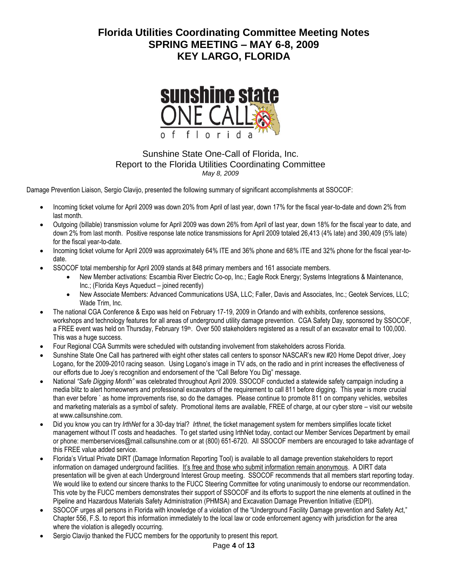

### Sunshine State One-Call of Florida, Inc. Report to the Florida Utilities Coordinating Committee *May 8, 2009*

Damage Prevention Liaison, Sergio Clavijo, presented the following summary of significant accomplishments at SSOCOF:

- Incoming ticket volume for April 2009 was down 20% from April of last year, down 17% for the fiscal year-to-date and down 2% from last month.
- Outgoing (billable) transmission volume for April 2009 was down 26% from April of last year, down 18% for the fiscal year to date, and down 2% from last month. Positive response late notice transmissions for April 2009 totaled 26,413 (4% late) and 390,409 (5% late) for the fiscal year-to-date.
- Incoming ticket volume for April 2009 was approximately 64% ITE and 36% phone and 68% ITE and 32% phone for the fiscal year-todate.
- SSOCOF total membership for April 2009 stands at 848 primary members and 161 associate members.
	- New Member activations: Escambia River Electric Co-op, Inc.; Eagle Rock Energy; Systems Integrations & Maintenance, Inc.; (Florida Keys Aqueduct – joined recently)
	- New Associate Members: Advanced Communications USA, LLC; Faller, Davis and Associates, Inc.; Geotek Services, LLC; Wade Trim, Inc.
- The national CGA Conference & Expo was held on February 17-19, 2009 in Orlando and with exhibits, conference sessions, workshops and technology features for all areas of underground utility damage prevention. CGA Safety Day, sponsored by SSOCOF, a FREE event was held on Thursday, February 19<sup>th</sup>. Over 500 stakeholders registered as a result of an excavator email to 100,000. This was a huge success.
- Four Regional CGA Summits were scheduled with outstanding involvement from stakeholders across Florida.
- Sunshine State One Call has partnered with eight other states call centers to sponsor NASCAR's new #20 Home Depot driver, Joey Logano, for the 2009-2010 racing season. Using Logano's image in TV ads, on the radio and in print increases the effectiveness of our efforts due to Joey's recognition and endorsement of the "Call Before You Dig" message.
- National *"Safe Digging Month"* was celebrated throughout April 2009. SSOCOF conducted a statewide safety campaign including a media blitz to alert homeowners and professional excavators of the requirement to call 811 before digging. This year is more crucial than ever before ` as home improvements rise, so do the damages. Please continue to promote 811 on company vehicles, websites and marketing materials as a symbol of safety. Promotional items are available, FREE of charge, at our cyber store – visit our website at [www.callsunshine.com.](http://www.callsunshine.com/)
- Did you know you can try *IrthNet* for a 30-day trial? *Irthnet*, the ticket management system for members simplifies locate ticket management without IT costs and headaches. To get started using IrthNet today, contact our Member Services Department by email or phone: [memberservices@mail.callsunshine.com](mailto:memberservices@mail.callsunshine.com) or at (800) 651-6720. All SSOCOF members are encouraged to take advantage of this FREE value added service.
- Florida's Virtual Private DIRT (Damage Information Reporting Tool) is available to all damage prevention stakeholders to report information on damaged underground facilities. It's free and those who submit information remain anonymous. A DIRT data presentation will be given at each Underground Interest Group meeting. SSOCOF recommends that all members start reporting today. We would like to extend our sincere thanks to the FUCC Steering Committee for voting unanimously to endorse our recommendation. This vote by the FUCC members demonstrates their support of SSOCOF and its efforts to support the nine elements at outlined in the Pipeline and Hazardous Materials Safety Administration (PHMSA) and Excavation Damage Prevention Initiative (EDPI).
- SSOCOF urges all persons in Florida with knowledge of a violation of the "Underground Facility Damage prevention and Safety Act," Chapter 556, F.S. to report this information immediately to the local law or code enforcement agency with jurisdiction for the area where the violation is allegedly occurring.
- Sergio Clavijo thanked the FUCC members for the opportunity to present this report.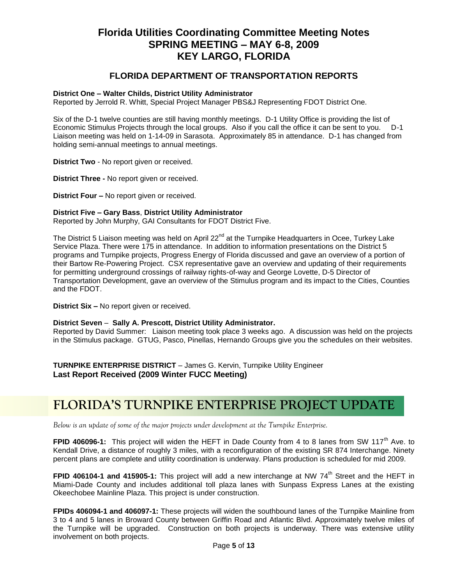### **FLORIDA DEPARTMENT OF TRANSPORTATION REPORTS**

#### **District One – Walter Childs, District Utility Administrator**

Reported by Jerrold R. Whitt, Special Project Manager PBS&J Representing FDOT District One.

Six of the D-1 twelve counties are still having monthly meetings. D-1 Utility Office is providing the list of Economic Stimulus Projects through the local groups. Also if you call the office it can be sent to you. D-1 Liaison meeting was held on 1-14-09 in Sarasota. Approximately 85 in attendance. D-1 has changed from holding semi-annual meetings to annual meetings.

**District Two** - No report given or received.

**District Three -** No report given or received.

**District Four –** No report given or received.

#### **District Five – Gary Bass**, **District Utility Administrator**

Reported by John Murphy, GAI Consultants for FDOT District Five.

The District 5 Liaison meeting was held on April  $22<sup>nd</sup>$  at the Turnpike Headquarters in Ocee, Turkey Lake Service Plaza. There were 175 in attendance. In addition to information presentations on the District 5 programs and Turnpike projects, Progress Energy of Florida discussed and gave an overview of a portion of their Bartow Re-Powering Project. CSX representative gave an overview and updating of their requirements for permitting underground crossings of railway rights-of-way and George Lovette, D-5 Director of Transportation Development, gave an overview of the Stimulus program and its impact to the Cities, Counties and the FDOT.

**District Six –** No report given or received.

#### **District Seven** – **Sally A. Prescott, District Utility Administrator.**

Reported by David Summer: Liaison meeting took place 3 weeks ago. A discussion was held on the projects in the Stimulus package. GTUG, Pasco, Pinellas, Hernando Groups give you the schedules on their websites.

**TURNPIKE ENTERPRISE DISTRICT** – James G. Kervin, Turnpike Utility Engineer **Last Report Received (2009 Winter FUCC Meeting)** 

# **FLORIDA'S TURNPIKE ENTERPRISE PROJECT UPDATE**

*Below is an update of some of the major projects under development at the Turnpike Enterprise.*

**FPID 406096-1:** This project will widen the HEFT in Dade County from 4 to 8 lanes from SW 117<sup>th</sup> Ave. to Kendall Drive, a distance of roughly 3 miles, with a reconfiguration of the existing SR 874 Interchange. Ninety percent plans are complete and utility coordination is underway. Plans production is scheduled for mid 2009.

**FPID 406104-1 and 415905-1:** This project will add a new interchange at NW 74<sup>th</sup> Street and the HEFT in Miami-Dade County and includes additional toll plaza lanes with Sunpass Express Lanes at the existing Okeechobee Mainline Plaza. This project is under construction.

**FPIDs 406094-1 and 406097-1:** These projects will widen the southbound lanes of the Turnpike Mainline from 3 to 4 and 5 lanes in Broward County between Griffin Road and Atlantic Blvd. Approximately twelve miles of the Turnpike will be upgraded. Construction on both projects is underway. There was extensive utility involvement on both projects.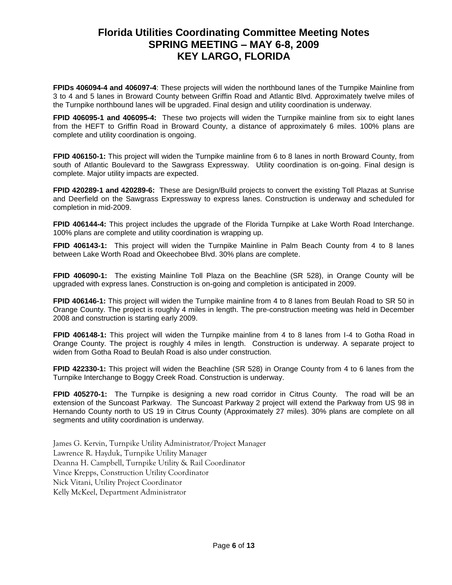**FPIDs 406094-4 and 406097-4**: These projects will widen the northbound lanes of the Turnpike Mainline from 3 to 4 and 5 lanes in Broward County between Griffin Road and Atlantic Blvd. Approximately twelve miles of the Turnpike northbound lanes will be upgraded. Final design and utility coordination is underway.

**FPID 406095-1 and 406095-4:** These two projects will widen the Turnpike mainline from six to eight lanes from the HEFT to Griffin Road in Broward County, a distance of approximately 6 miles. 100% plans are complete and utility coordination is ongoing.

**FPID 406150-1:** This project will widen the Turnpike mainline from 6 to 8 lanes in north Broward County, from south of Atlantic Boulevard to the Sawgrass Expressway. Utility coordination is on-going. Final design is complete. Major utility impacts are expected.

**FPID 420289-1 and 420289-6:** These are Design/Build projects to convert the existing Toll Plazas at Sunrise and Deerfield on the Sawgrass Expressway to express lanes. Construction is underway and scheduled for completion in mid-2009.

**FPID 406144-4:** This project includes the upgrade of the Florida Turnpike at Lake Worth Road Interchange. 100% plans are complete and utility coordination is wrapping up.

**FPID 406143-1:** This project will widen the Turnpike Mainline in Palm Beach County from 4 to 8 lanes between Lake Worth Road and Okeechobee Blvd. 30% plans are complete.

**FPID 406090-1:** The existing Mainline Toll Plaza on the Beachline (SR 528), in Orange County will be upgraded with express lanes. Construction is on-going and completion is anticipated in 2009.

**FPID 406146-1:** This project will widen the Turnpike mainline from 4 to 8 lanes from Beulah Road to SR 50 in Orange County. The project is roughly 4 miles in length. The pre-construction meeting was held in December 2008 and construction is starting early 2009.

**FPID 406148-1:** This project will widen the Turnpike mainline from 4 to 8 lanes from I-4 to Gotha Road in Orange County. The project is roughly 4 miles in length. Construction is underway. A separate project to widen from Gotha Road to Beulah Road is also under construction.

**FPID 422330-1:** This project will widen the Beachline (SR 528) in Orange County from 4 to 6 lanes from the Turnpike Interchange to Boggy Creek Road. Construction is underway.

**FPID 405270-1:** The Turnpike is designing a new road corridor in Citrus County. The road will be an extension of the Suncoast Parkway. The Suncoast Parkway 2 project will extend the Parkway from US 98 in Hernando County north to US 19 in Citrus County (Approximately 27 miles). 30% plans are complete on all segments and utility coordination is underway.

James G. Kervin, Turnpike Utility Administrator/Project Manager Lawrence R. Hayduk, Turnpike Utility Manager Deanna H. Campbell, Turnpike Utility & Rail Coordinator Vince Krepps, Construction Utility Coordinator Nick Vitani, Utility Project Coordinator Kelly McKeel, Department Administrator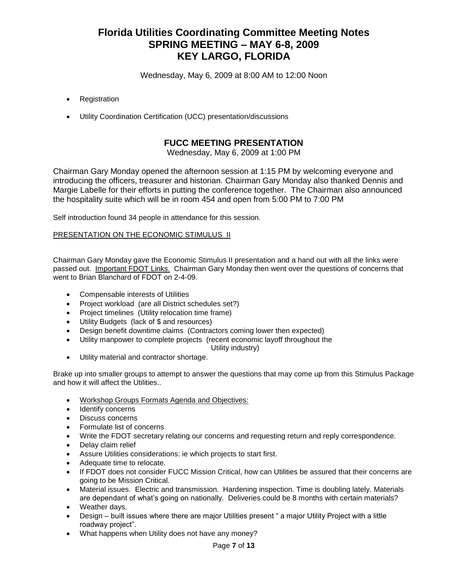Wednesday, May 6, 2009 at 8:00 AM to 12:00 Noon

- Registration
- Utility Coordination Certification (UCC) presentation/discussions

## **FUCC MEETING PRESENTATION**

Wednesday, May 6, 2009 at 1:00 PM

Chairman Gary Monday opened the afternoon session at 1:15 PM by welcoming everyone and introducing the officers, treasurer and historian. Chairman Gary Monday also thanked Dennis and Margie Labelle for their efforts in putting the conference together. The Chairman also announced the hospitality suite which will be in room 454 and open from 5:00 PM to 7:00 PM

Self introduction found 34 people in attendance for this session.

#### PRESENTATION ON THE ECONOMIC STIMULUS II

Chairman Gary Monday gave the Economic Stimulus II presentation and a hand out with all the links were passed out. Important FDOT Links. Chairman Gary Monday then went over the questions of concerns that went to Brian Blanchard of FDOT on 2-4-09.

- Compensable interests of Utilities
- Project workload (are all District schedules set?)
- Project timelines (Utility relocation time frame)
- Utility Budgets (lack of \$ and resources)
- Design benefit downtime claims (Contractors coming lower then expected)
- Utility manpower to complete projects (recent economic layoff throughout the

Utility industry)

Utility material and contractor shortage.

Brake up into smaller groups to attempt to answer the questions that may come up from this Stimulus Package and how it will affect the Utilities..

- Workshop Groups Formats Agenda and Objectives:
- Identify concerns
- Discuss concerns
- Formulate list of concerns
- Write the FDOT secretary relating our concerns and requesting return and reply correspondence.
- Delay claim relief
- Assure Utilities considerations: ie which projects to start first.
- Adequate time to relocate.
- If FDOT does not consider FUCC Mission Critical, how can Utilities be assured that their concerns are going to be Mission Critical.
- Material issues. Electric and transmission. Hardening inspection. Time is doubling lately. Materials are dependant of what's going on nationally. Deliveries could be 8 months with certain materials?
- Weather days.
- Design built issues where there are major Utilities present " a major Utility Project with a little roadway project".
- What happens when Utility does not have any money?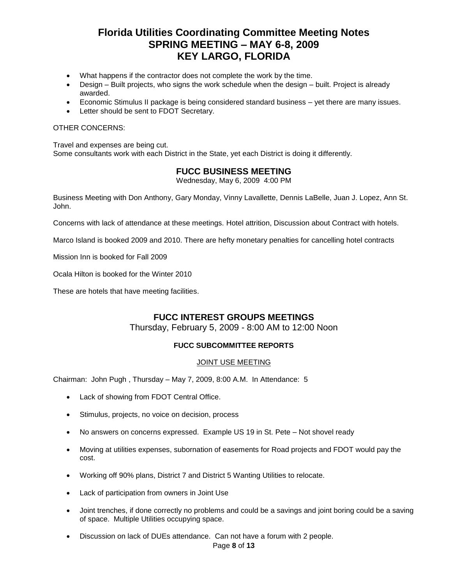- What happens if the contractor does not complete the work by the time.
- Design Built projects, who signs the work schedule when the design built. Project is already awarded.
- Economic Stimulus II package is being considered standard business yet there are many issues.
- Letter should be sent to FDOT Secretary.

#### OTHER CONCERNS:

Travel and expenses are being cut. Some consultants work with each District in the State, yet each District is doing it differently.

### **FUCC BUSINESS MEETING**

Wednesday, May 6, 2009 4:00 PM

Business Meeting with Don Anthony, Gary Monday, Vinny Lavallette, Dennis LaBelle, Juan J. Lopez, Ann St. John.

Concerns with lack of attendance at these meetings. Hotel attrition, Discussion about Contract with hotels.

Marco Island is booked 2009 and 2010. There are hefty monetary penalties for cancelling hotel contracts

Mission Inn is booked for Fall 2009

Ocala Hilton is booked for the Winter 2010

These are hotels that have meeting facilities.

## **FUCC INTEREST GROUPS MEETINGS**

Thursday, February 5, 2009 - 8:00 AM to 12:00 Noon

### **FUCC SUBCOMMITTEE REPORTS**

#### JOINT USE MEETING

Chairman: John Pugh , Thursday – May 7, 2009, 8:00 A.M. In Attendance: 5

- Lack of showing from FDOT Central Office.
- Stimulus, projects, no voice on decision, process
- No answers on concerns expressed. Example US 19 in St. Pete Not shovel ready
- Moving at utilities expenses, subornation of easements for Road projects and FDOT would pay the cost.
- Working off 90% plans, District 7 and District 5 Wanting Utilities to relocate.
- Lack of participation from owners in Joint Use
- Joint trenches, if done correctly no problems and could be a savings and joint boring could be a saving of space. Multiple Utilities occupying space.
- Discussion on lack of DUEs attendance. Can not have a forum with 2 people.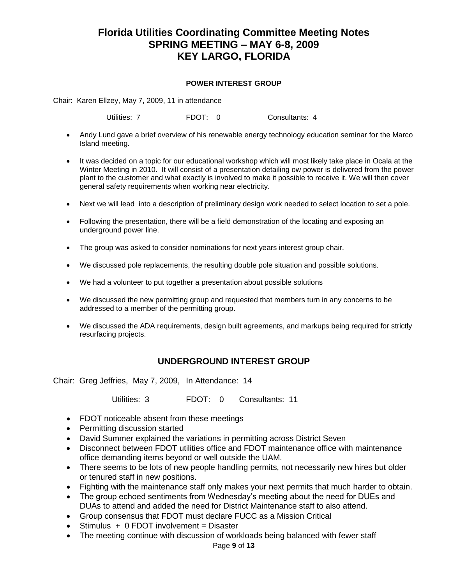### **POWER INTEREST GROUP**

Chair: Karen Ellzey, May 7, 2009, 11 in attendance

Utilities: 7 FDOT: 0 Consultants: 4

- Andy Lund gave a brief overview of his renewable energy technology education seminar for the Marco Island meeting.
- It was decided on a topic for our educational workshop which will most likely take place in Ocala at the Winter Meeting in 2010. It will consist of a presentation detailing ow power is delivered from the power plant to the customer and what exactly is involved to make it possible to receive it. We will then cover general safety requirements when working near electricity.
- Next we will lead into a description of preliminary design work needed to select location to set a pole.
- Following the presentation, there will be a field demonstration of the locating and exposing an underground power line.
- The group was asked to consider nominations for next years interest group chair.
- We discussed pole replacements, the resulting double pole situation and possible solutions.
- We had a volunteer to put together a presentation about possible solutions
- We discussed the new permitting group and requested that members turn in any concerns to be addressed to a member of the permitting group.
- We discussed the ADA requirements, design built agreements, and markups being required for strictly resurfacing projects.

### **UNDERGROUND INTEREST GROUP**

Chair: Greg Jeffries, May 7, 2009, In Attendance: 14

Utilities: 3 FDOT: 0 Consultants: 11

- FDOT noticeable absent from these meetings
- Permitting discussion started
- David Summer explained the variations in permitting across District Seven
- Disconnect between FDOT utilities office and FDOT maintenance office with maintenance office demanding items beyond or well outside the UAM.
- There seems to be lots of new people handling permits, not necessarily new hires but older or tenured staff in new positions.
- Fighting with the maintenance staff only makes your next permits that much harder to obtain.
- The group echoed sentiments from Wednesday's meeting about the need for DUEs and DUAs to attend and added the need for District Maintenance staff to also attend.
- Group consensus that FDOT must declare FUCC as a Mission Critical
- Stimulus + 0 FDOT involvement = Disaster
- The meeting continue with discussion of workloads being balanced with fewer staff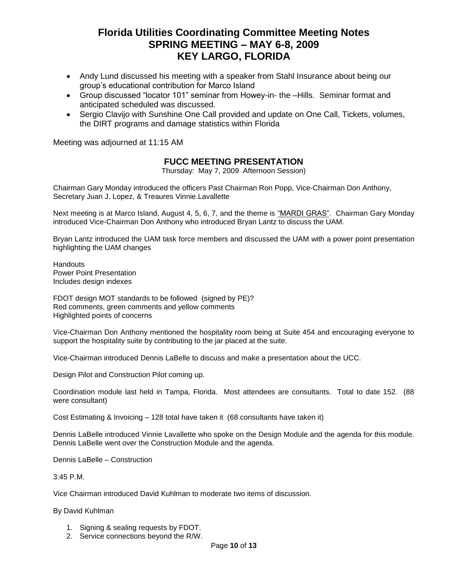- Andy Lund discussed his meeting with a speaker from Stahl Insurance about being our group's educational contribution for Marco Island
- Group discussed "locator 101" seminar from Howey-in- the –Hills. Seminar format and anticipated scheduled was discussed.
- Sergio Clavijo with Sunshine One Call provided and update on One Call, Tickets, volumes, the DIRT programs and damage statistics within Florida

Meeting was adjourned at 11:15 AM

## **FUCC MEETING PRESENTATION**

Thursday: May 7, 2009 Afternoon Session)

Chairman Gary Monday introduced the officers Past Chairman Ron Popp, Vice-Chairman Don Anthony, Secretary Juan J. Lopez, & Treaures Vinnie.Lavallette

Next meeting is at Marco Island, August 4, 5, 6, 7, and the theme is "MARDI GRAS". Chairman Gary Monday introduced Vice-Chairman Don Anthony who introduced Bryan Lantz to discuss the UAM.

Bryan Lantz introduced the UAM task force members and discussed the UAM with a power point presentation highlighting the UAM changes

**Handouts** Power Point Presentation Includes design indexes

FDOT design MOT standards to be followed (signed by PE)? Red comments, green comments and yellow comments Highlighted points of concerns

Vice-Chairman Don Anthony mentioned the hospitality room being at Suite 454 and encouraging everyone to support the hospitality suite by contributing to the jar placed at the suite.

Vice-Chairman introduced Dennis LaBelle to discuss and make a presentation about the UCC.

Design Pilot and Construction Pilot coming up.

Coordination module last held in Tampa, Florida. Most attendees are consultants. Total to date 152. (88 were consultant)

Cost Estimating & Invoicing – 128 total have taken it (68 consultants have taken it)

Dennis LaBelle introduced Vinnie Lavallette who spoke on the Design Module and the agenda for this module. Dennis LaBelle went over the Construction Module and the agenda.

Dennis LaBelle – Construction

3:45 P.M.

Vice Chairman introduced David Kuhlman to moderate two items of discussion.

By David Kuhlman

- 1. Signing & sealing requests by FDOT.
- 2. Service connections beyond the R/W.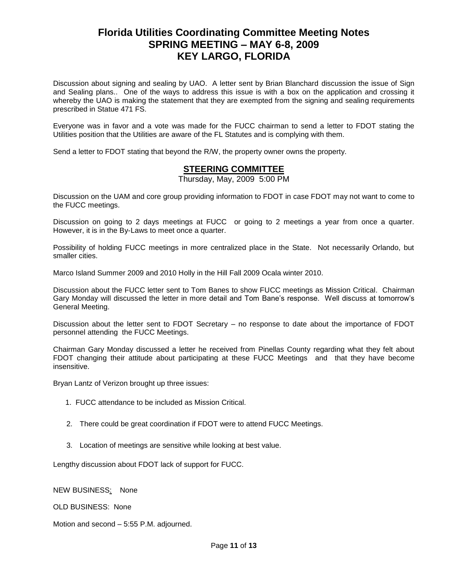Discussion about signing and sealing by UAO. A letter sent by Brian Blanchard discussion the issue of Sign and Sealing plans.. One of the ways to address this issue is with a box on the application and crossing it whereby the UAO is making the statement that they are exempted from the signing and sealing requirements prescribed in Statue 471 FS.

Everyone was in favor and a vote was made for the FUCC chairman to send a letter to FDOT stating the Utilities position that the Utilities are aware of the FL Statutes and is complying with them.

Send a letter to FDOT stating that beyond the R/W, the property owner owns the property.

### **STEERING COMMITTEE**

Thursday, May, 2009 5:00 PM

Discussion on the UAM and core group providing information to FDOT in case FDOT may not want to come to the FUCC meetings.

Discussion on going to 2 days meetings at FUCC or going to 2 meetings a year from once a quarter. However, it is in the By-Laws to meet once a quarter.

Possibility of holding FUCC meetings in more centralized place in the State. Not necessarily Orlando, but smaller cities.

Marco Island Summer 2009 and 2010 Holly in the Hill Fall 2009 Ocala winter 2010.

Discussion about the FUCC letter sent to Tom Banes to show FUCC meetings as Mission Critical. Chairman Gary Monday will discussed the letter in more detail and Tom Bane's response. Well discuss at tomorrow's General Meeting.

Discussion about the letter sent to FDOT Secretary – no response to date about the importance of FDOT personnel attending the FUCC Meetings.

Chairman Gary Monday discussed a letter he received from Pinellas County regarding what they felt about FDOT changing their attitude about participating at these FUCC Meetings and that they have become insensitive.

Bryan Lantz of Verizon brought up three issues:

- 1. FUCC attendance to be included as Mission Critical.
- 2. There could be great coordination if FDOT were to attend FUCC Meetings.
- 3. Location of meetings are sensitive while looking at best value.

Lengthy discussion about FDOT lack of support for FUCC.

NEW BUSINESS: None

OLD BUSINESS: None

Motion and second – 5:55 P.M. adjourned.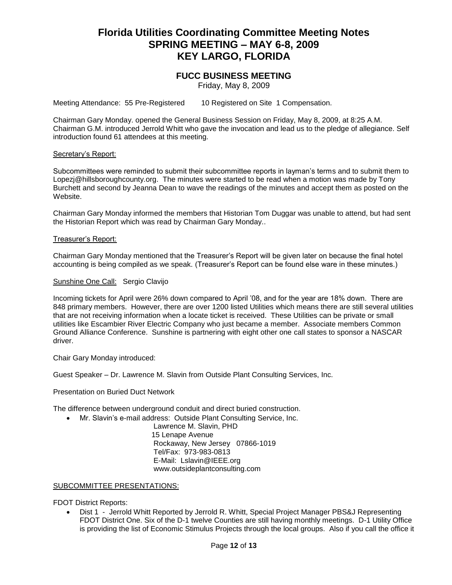### **FUCC BUSINESS MEETING**

Friday, May 8, 2009

Meeting Attendance: 55 Pre-Registered 10 Registered on Site 1 Compensation.

Chairman Gary Monday. opened the General Business Session on Friday, May 8, 2009, at 8:25 A.M. Chairman G.M. introduced Jerrold Whitt who gave the invocation and lead us to the pledge of allegiance. Self introduction found 61 attendees at this meeting.

#### Secretary's Report:

Subcommittees were reminded to submit their subcommittee reports in layman's terms and to submit them to [Lopezj@hillsboroughcounty.org.](mailto:Lopezj@hillsboroughcounty.org) The minutes were started to be read when a motion was made by Tony Burchett and second by Jeanna Dean to wave the readings of the minutes and accept them as posted on the Website.

Chairman Gary Monday informed the members that Historian Tom Duggar was unable to attend, but had sent the Historian Report which was read by Chairman Gary Monday..

#### Treasurer's Report:

Chairman Gary Monday mentioned that the Treasurer's Report will be given later on because the final hotel accounting is being compiled as we speak. (Treasurer's Report can be found else ware in these minutes.)

#### Sunshine One Call: Sergio Clavijo

Incoming tickets for April were 26% down compared to April '08, and for the year are 18% down. There are 848 primary members. However, there are over 1200 listed Utilities which means there are still several utilities that are not receiving information when a locate ticket is received. These Utilities can be private or small utilities like Escambier River Electric Company who just became a member. Associate members Common Ground Alliance Conference. Sunshine is partnering with eight other one call states to sponsor a NASCAR driver.

Chair Gary Monday introduced:

Guest Speaker – Dr. Lawrence M. Slavin from Outside Plant Consulting Services, Inc.

Presentation on Buried Duct Network

The difference between underground conduit and direct buried construction.

Mr. Slavin's e-mail address: Outside Plant Consulting Service, Inc.

 Lawrence M. Slavin, PHD 15 Lenape Avenue Rockaway, New Jersey 07866-1019 Tel/Fax: 973-983-0813 E-Mail: [Lslavin@IEEE.org](mailto:Lslavin@IEEE.org) [www.outsideplantconsulting.com](http://www.outsideplantconsulting.com/)

#### SUBCOMMITTEE PRESENTATIONS:

FDOT District Reports:

• Dist 1 - Jerrold Whitt Reported by Jerrold R. Whitt, Special Project Manager PBS&J Representing FDOT District One. Six of the D-1 twelve Counties are still having monthly meetings. D-1 Utility Office is providing the list of Economic Stimulus Projects through the local groups. Also if you call the office it